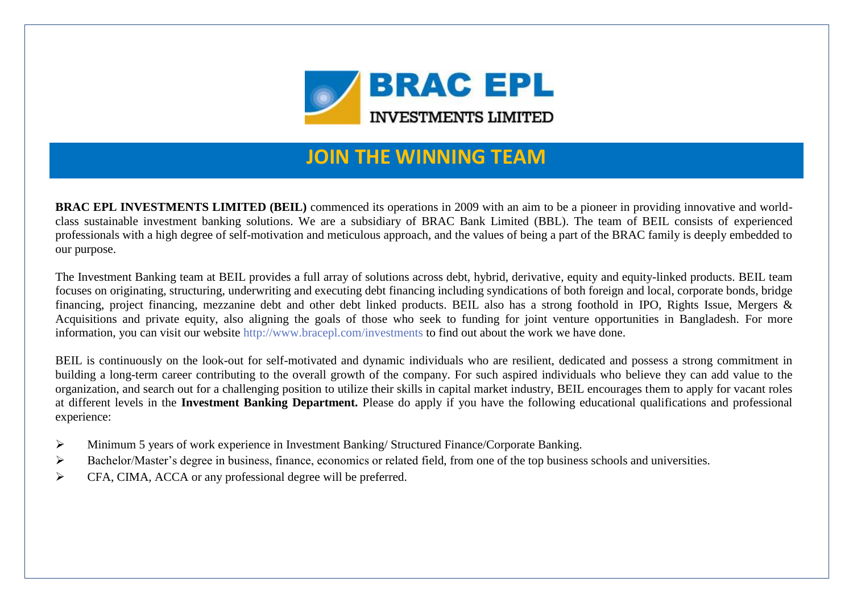

## **JOIN THE WINNING TEAM**

**BRAC EPL INVESTMENTS LIMITED (BEIL)** commenced its operations in 2009 with an aim to be a pioneer in providing innovative and worldclass sustainable investment banking solutions. We are a subsidiary of BRAC Bank Limited (BBL). The team of BEIL consists of experienced professionals with a high degree of self-motivation and meticulous approach, and the values of being a part of the BRAC family is deeply embedded to our purpose.

The Investment Banking team at BEIL provides a full array of solutions across debt, hybrid, derivative, equity and equity-linked products. BEIL team focuses on originating, structuring, underwriting and executing debt financing including syndications of both foreign and local, corporate bonds, bridge financing, project financing, mezzanine debt and other debt linked products. BEIL also has a strong foothold in IPO, Rights Issue, Mergers & Acquisitions and private equity, also aligning the goals of those who seek to funding for joint venture opportunities in Bangladesh. For more information, you can visit our website<http://www.bracepl.com/investments> to find out about the work we have done.

BEIL is continuously on the look-out for self-motivated and dynamic individuals who are resilient, dedicated and possess a strong commitment in building a long-term career contributing to the overall growth of the company. For such aspired individuals who believe they can add value to the organization, and search out for a challenging position to utilize their skills in capital market industry, BEIL encourages them to apply for vacant roles at different levels in the **Investment Banking Department.** Please do apply if you have the following educational qualifications and professional experience:

- Minimum 5 years of work experience in Investment Banking/ Structured Finance/Corporate Banking.
- Bachelor/Master's degree in business, finance, economics or related field, from one of the top business schools and universities.
- $\triangleright$  CFA, CIMA, ACCA or any professional degree will be preferred.